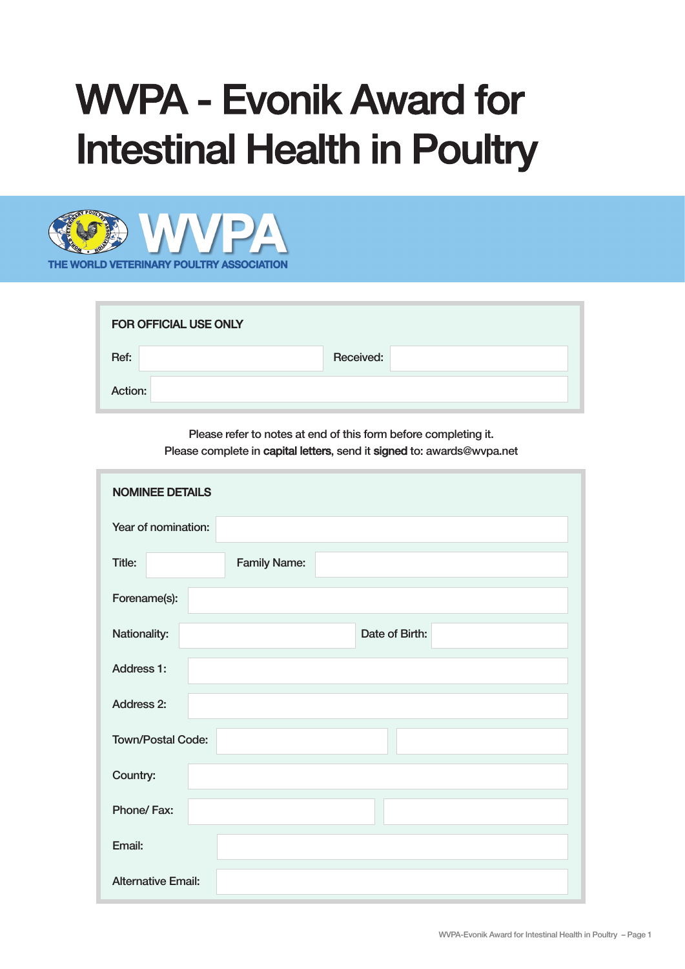## WVPA - Evonik Award for **intestinal Health in Poultry**



| <b>FOR OFFICIAL USE ONLY</b> |           |
|------------------------------|-----------|
| Ref:                         | Received: |
| Action:                      |           |

**Please refer to notes at end of this form before completing it. Please complete in capital letters, send it signed to: awards@wvpa.net**

| <b>NOMINEE DETAILS</b>         |
|--------------------------------|
| Year of nomination:            |
| Title:<br><b>Family Name:</b>  |
| Forename(s):                   |
| Nationality:<br>Date of Birth: |
| <b>Address 1:</b>              |
| <b>Address 2:</b>              |
| <b>Town/Postal Code:</b>       |
| Country:                       |
| Phone/Fax:                     |
| Email:                         |
| <b>Alternative Email:</b>      |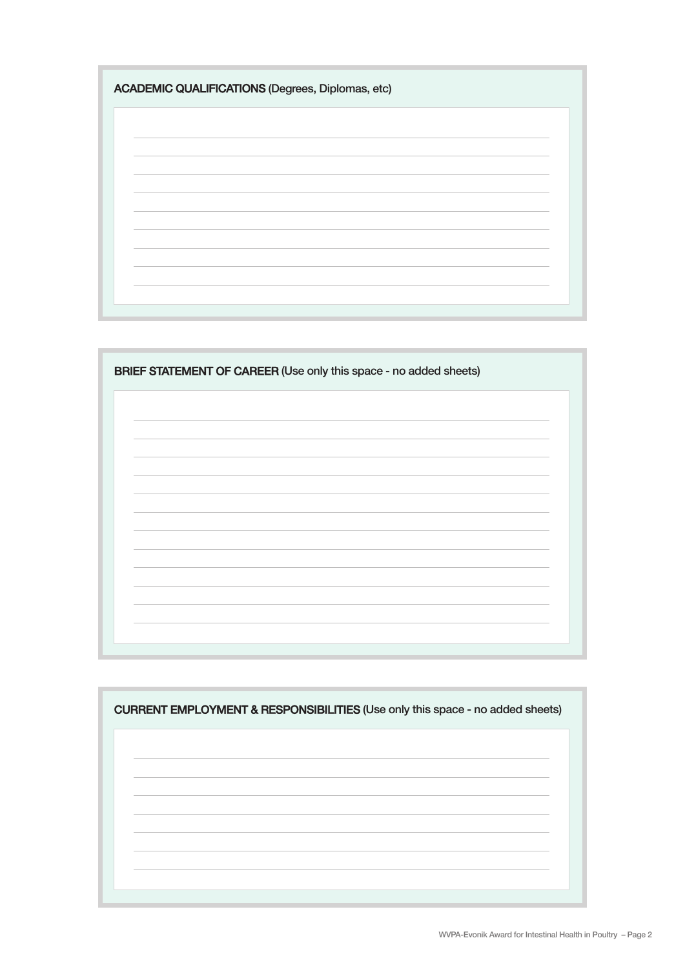| <b>ACADEMIC QUALIFICATIONS (Degrees, Diplomas, etc)</b> |  |
|---------------------------------------------------------|--|
|                                                         |  |
|                                                         |  |
|                                                         |  |
|                                                         |  |
|                                                         |  |
|                                                         |  |

| <b>BRIEF STATEMENT OF CAREER (Use only this space - no added sheets)</b> |  |
|--------------------------------------------------------------------------|--|
|                                                                          |  |
|                                                                          |  |
|                                                                          |  |
|                                                                          |  |
|                                                                          |  |
|                                                                          |  |
|                                                                          |  |
|                                                                          |  |

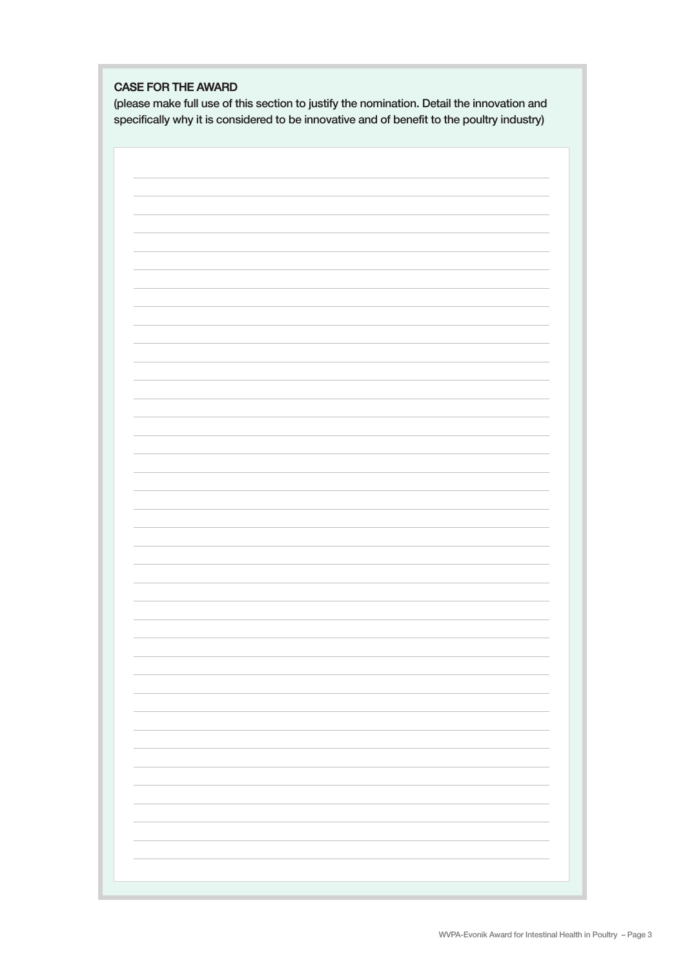## **Case For tHe aWarD**

**(please make full use of this section to justify the nomination. Detail the innovation and specifically why it is considered to be innovative and of benefit to the poultry industry)**